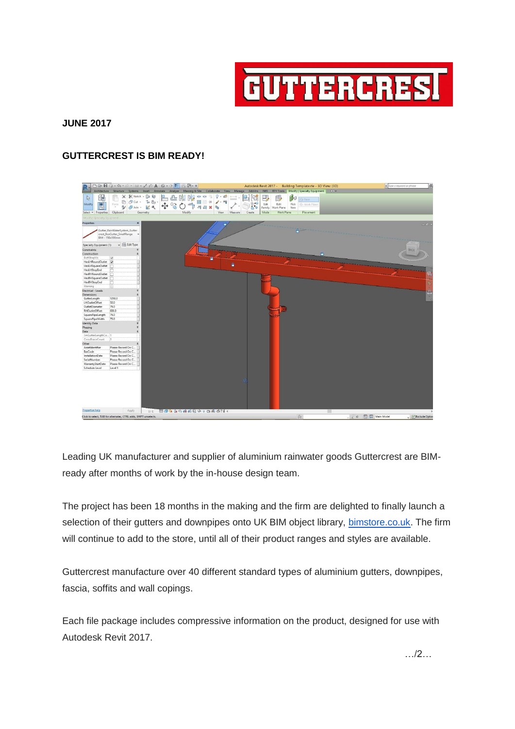

## **JUNE 2017**

## **GUTTERCREST IS BIM READY!**



Leading UK manufacturer and supplier of aluminium rainwater goods Guttercrest are BIMready after months of work by the in-house design team.

The project has been 18 months in the making and the firm are delighted to finally launch a selection of their gutters and downpipes onto UK BIM object library, [bimstore.co.uk.](http://bimstore.co.uk/) The firm will continue to add to the store, until all of their product ranges and styles are available.

Guttercrest manufacture over 40 different standard types of aluminium gutters, downpipes, fascia, soffits and wall copings.

Each file package includes compressive information on the product, designed for use with Autodesk Revit 2017.